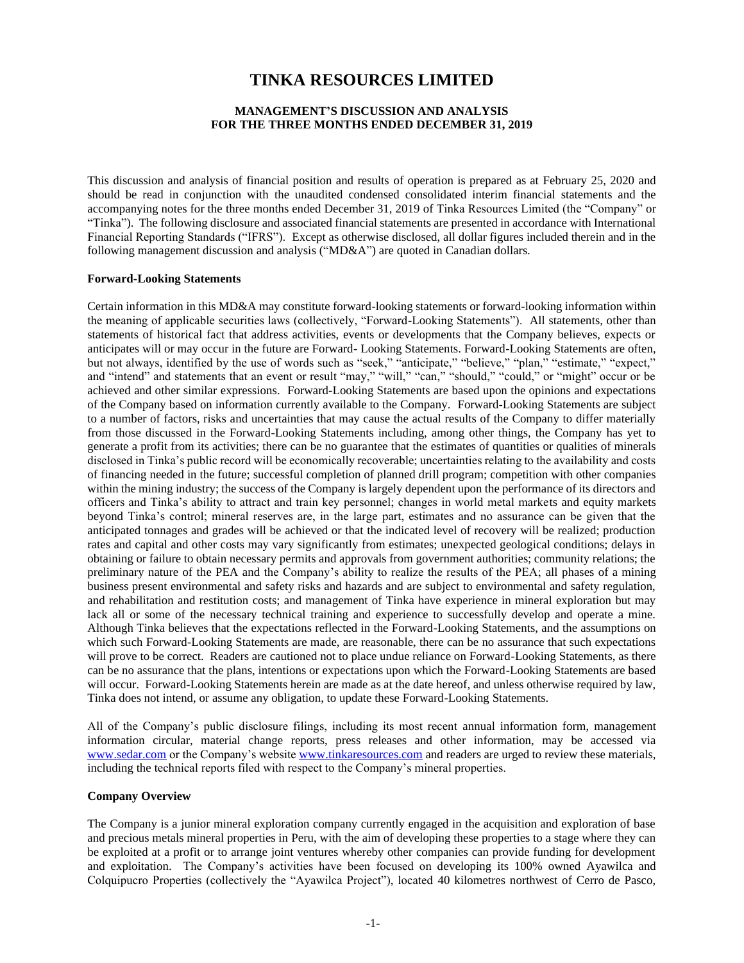# **TINKA RESOURCES LIMITED**

### **MANAGEMENT'S DISCUSSION AND ANALYSIS FOR THE THREE MONTHS ENDED DECEMBER 31, 2019**

This discussion and analysis of financial position and results of operation is prepared as at February 25, 2020 and should be read in conjunction with the unaudited condensed consolidated interim financial statements and the accompanying notes for the three months ended December 31, 2019 of Tinka Resources Limited (the "Company" or "Tinka"). The following disclosure and associated financial statements are presented in accordance with International Financial Reporting Standards ("IFRS"). Except as otherwise disclosed, all dollar figures included therein and in the following management discussion and analysis ("MD&A") are quoted in Canadian dollars.

### **Forward-Looking Statements**

Certain information in this MD&A may constitute forward-looking statements or forward-looking information within the meaning of applicable securities laws (collectively, "Forward-Looking Statements"). All statements, other than statements of historical fact that address activities, events or developments that the Company believes, expects or anticipates will or may occur in the future are Forward- Looking Statements. Forward-Looking Statements are often, but not always, identified by the use of words such as "seek," "anticipate," "believe," "plan," "estimate," "expect," and "intend" and statements that an event or result "may," "will," "can," "should," "could," or "might" occur or be achieved and other similar expressions. Forward-Looking Statements are based upon the opinions and expectations of the Company based on information currently available to the Company. Forward-Looking Statements are subject to a number of factors, risks and uncertainties that may cause the actual results of the Company to differ materially from those discussed in the Forward-Looking Statements including, among other things, the Company has yet to generate a profit from its activities; there can be no guarantee that the estimates of quantities or qualities of minerals disclosed in Tinka's public record will be economically recoverable; uncertainties relating to the availability and costs of financing needed in the future; successful completion of planned drill program; competition with other companies within the mining industry; the success of the Company is largely dependent upon the performance of its directors and officers and Tinka's ability to attract and train key personnel; changes in world metal markets and equity markets beyond Tinka's control; mineral reserves are, in the large part, estimates and no assurance can be given that the anticipated tonnages and grades will be achieved or that the indicated level of recovery will be realized; production rates and capital and other costs may vary significantly from estimates; unexpected geological conditions; delays in obtaining or failure to obtain necessary permits and approvals from government authorities; community relations; the preliminary nature of the PEA and the Company's ability to realize the results of the PEA; all phases of a mining business present environmental and safety risks and hazards and are subject to environmental and safety regulation, and rehabilitation and restitution costs; and management of Tinka have experience in mineral exploration but may lack all or some of the necessary technical training and experience to successfully develop and operate a mine. Although Tinka believes that the expectations reflected in the Forward-Looking Statements, and the assumptions on which such Forward-Looking Statements are made, are reasonable, there can be no assurance that such expectations will prove to be correct. Readers are cautioned not to place undue reliance on Forward-Looking Statements, as there can be no assurance that the plans, intentions or expectations upon which the Forward-Looking Statements are based will occur. Forward-Looking Statements herein are made as at the date hereof, and unless otherwise required by law, Tinka does not intend, or assume any obligation, to update these Forward-Looking Statements.

All of the Company's public disclosure filings, including its most recent annual information form, management information circular, material change reports, press releases and other information, may be accessed via [www.sedar.com](http://www.sedar.com/) or the Company's website [www.tinkaresources.com](http://www.tinkaresources.com/) and readers are urged to review these materials, including the technical reports filed with respect to the Company's mineral properties.

#### **Company Overview**

The Company is a junior mineral exploration company currently engaged in the acquisition and exploration of base and precious metals mineral properties in Peru, with the aim of developing these properties to a stage where they can be exploited at a profit or to arrange joint ventures whereby other companies can provide funding for development and exploitation. The Company's activities have been focused on developing its 100% owned Ayawilca and Colquipucro Properties (collectively the "Ayawilca Project"), located 40 kilometres northwest of Cerro de Pasco,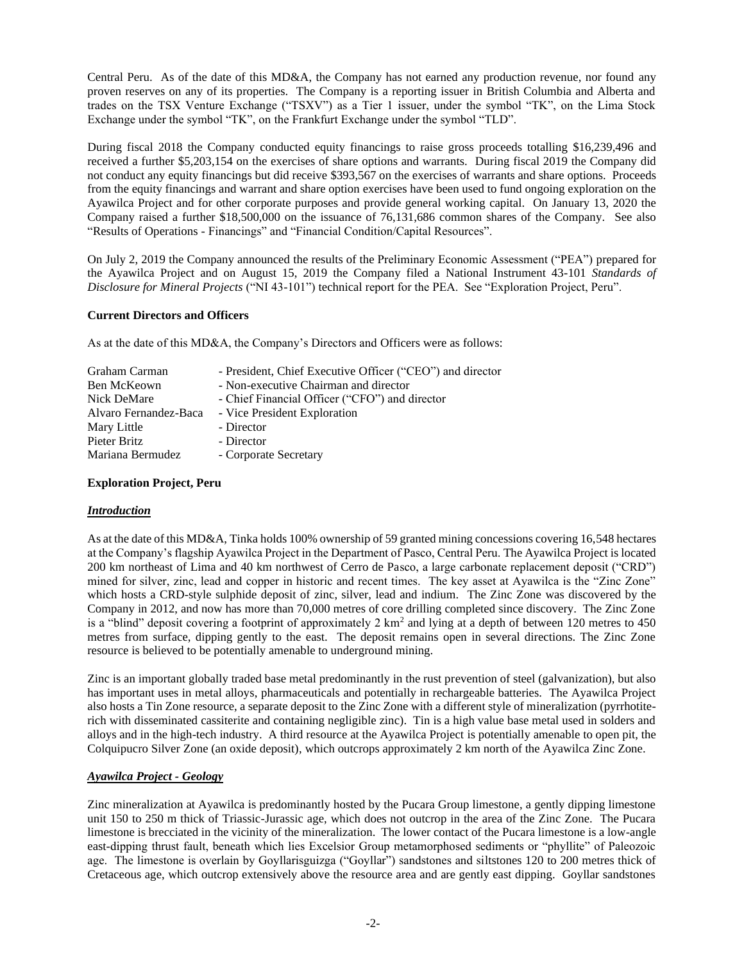Central Peru. As of the date of this MD&A, the Company has not earned any production revenue, nor found any proven reserves on any of its properties. The Company is a reporting issuer in British Columbia and Alberta and trades on the TSX Venture Exchange ("TSXV") as a Tier 1 issuer, under the symbol "TK", on the Lima Stock Exchange under the symbol "TK", on the Frankfurt Exchange under the symbol "TLD".

During fiscal 2018 the Company conducted equity financings to raise gross proceeds totalling \$16,239,496 and received a further \$5,203,154 on the exercises of share options and warrants. During fiscal 2019 the Company did not conduct any equity financings but did receive \$393,567 on the exercises of warrants and share options. Proceeds from the equity financings and warrant and share option exercises have been used to fund ongoing exploration on the Ayawilca Project and for other corporate purposes and provide general working capital. On January 13, 2020 the Company raised a further \$18,500,000 on the issuance of 76,131,686 common shares of the Company. See also "Results of Operations - Financings" and "Financial Condition/Capital Resources".

On July 2, 2019 the Company announced the results of the Preliminary Economic Assessment ("PEA") prepared for the Ayawilca Project and on August 15, 2019 the Company filed a National Instrument 43-101 *Standards of Disclosure for Mineral Projects* ("NI 43-101") technical report for the PEA. See "Exploration Project, Peru".

### **Current Directors and Officers**

As at the date of this MD&A, the Company's Directors and Officers were as follows:

| Graham Carman         | - President, Chief Executive Officer ("CEO") and director |
|-----------------------|-----------------------------------------------------------|
| Ben McKeown           | - Non-executive Chairman and director                     |
| Nick DeMare           | - Chief Financial Officer ("CFO") and director            |
| Alvaro Fernandez-Baca | - Vice President Exploration                              |
| Mary Little           | - Director                                                |
| Pieter Britz          | - Director                                                |
| Mariana Bermudez      | - Corporate Secretary                                     |

### **Exploration Project, Peru**

### *Introduction*

As at the date of this MD&A, Tinka holds 100% ownership of 59 granted mining concessions covering 16,548 hectares at the Company's flagship Ayawilca Project in the Department of Pasco, Central Peru. The Ayawilca Project is located 200 km northeast of Lima and 40 km northwest of Cerro de Pasco, a large carbonate replacement deposit ("CRD") mined for silver, zinc, lead and copper in historic and recent times. The key asset at Ayawilca is the "Zinc Zone" which hosts a CRD-style sulphide deposit of zinc, silver, lead and indium. The Zinc Zone was discovered by the Company in 2012, and now has more than 70,000 metres of core drilling completed since discovery. The Zinc Zone is a "blind" deposit covering a footprint of approximately  $2 \text{ km}^2$  and lying at a depth of between 120 metres to 450 metres from surface, dipping gently to the east. The deposit remains open in several directions. The Zinc Zone resource is believed to be potentially amenable to underground mining.

Zinc is an important globally traded base metal predominantly in the rust prevention of steel (galvanization), but also has important uses in metal alloys, pharmaceuticals and potentially in rechargeable batteries. The Ayawilca Project also hosts a Tin Zone resource, a separate deposit to the Zinc Zone with a different style of mineralization (pyrrhotiterich with disseminated cassiterite and containing negligible zinc). Tin is a high value base metal used in solders and alloys and in the high-tech industry. A third resource at the Ayawilca Project is potentially amenable to open pit, the Colquipucro Silver Zone (an oxide deposit), which outcrops approximately 2 km north of the Ayawilca Zinc Zone.

### *Ayawilca Project - Geology*

Zinc mineralization at Ayawilca is predominantly hosted by the Pucara Group limestone, a gently dipping limestone unit 150 to 250 m thick of Triassic-Jurassic age, which does not outcrop in the area of the Zinc Zone. The Pucara limestone is brecciated in the vicinity of the mineralization. The lower contact of the Pucara limestone is a low-angle east-dipping thrust fault, beneath which lies Excelsior Group metamorphosed sediments or "phyllite" of Paleozoic age. The limestone is overlain by Goyllarisguizga ("Goyllar") sandstones and siltstones 120 to 200 metres thick of Cretaceous age, which outcrop extensively above the resource area and are gently east dipping. Goyllar sandstones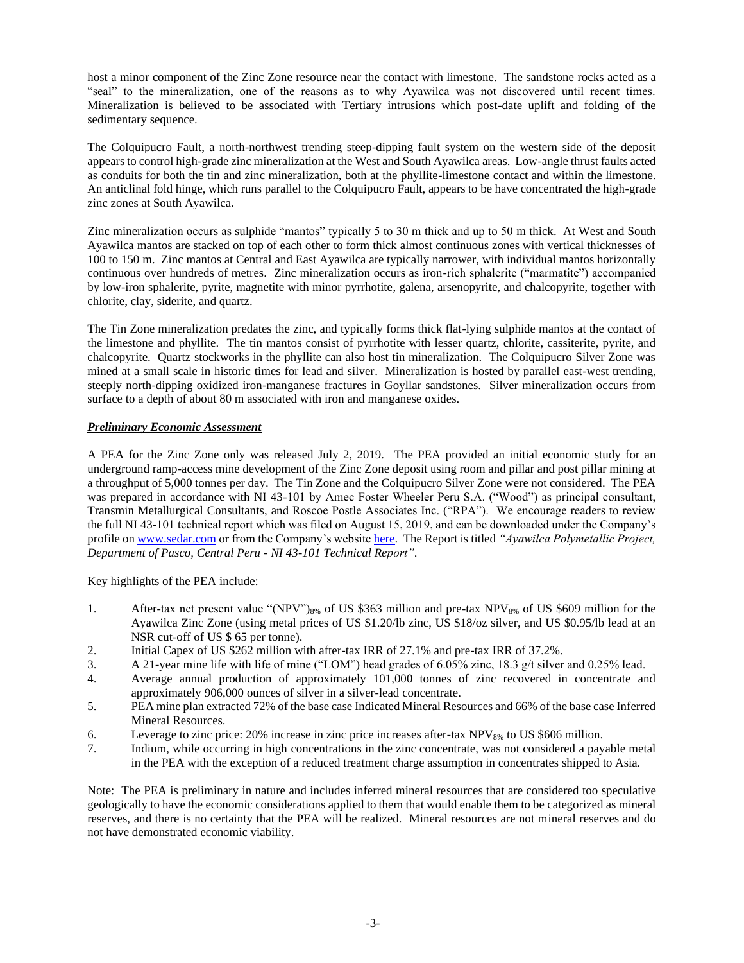host a minor component of the Zinc Zone resource near the contact with limestone. The sandstone rocks acted as a "seal" to the mineralization, one of the reasons as to why Ayawilca was not discovered until recent times. Mineralization is believed to be associated with Tertiary intrusions which post-date uplift and folding of the sedimentary sequence.

The Colquipucro Fault, a north-northwest trending steep-dipping fault system on the western side of the deposit appears to control high-grade zinc mineralization at the West and South Ayawilca areas. Low-angle thrust faults acted as conduits for both the tin and zinc mineralization, both at the phyllite-limestone contact and within the limestone. An anticlinal fold hinge, which runs parallel to the Colquipucro Fault, appears to be have concentrated the high-grade zinc zones at South Ayawilca.

Zinc mineralization occurs as sulphide "mantos" typically 5 to 30 m thick and up to 50 m thick. At West and South Ayawilca mantos are stacked on top of each other to form thick almost continuous zones with vertical thicknesses of 100 to 150 m. Zinc mantos at Central and East Ayawilca are typically narrower, with individual mantos horizontally continuous over hundreds of metres. Zinc mineralization occurs as iron-rich sphalerite ("marmatite") accompanied by low-iron sphalerite, pyrite, magnetite with minor pyrrhotite, galena, arsenopyrite, and chalcopyrite, together with chlorite, clay, siderite, and quartz.

The Tin Zone mineralization predates the zinc, and typically forms thick flat-lying sulphide mantos at the contact of the limestone and phyllite. The tin mantos consist of pyrrhotite with lesser quartz, chlorite, cassiterite, pyrite, and chalcopyrite. Quartz stockworks in the phyllite can also host tin mineralization. The Colquipucro Silver Zone was mined at a small scale in historic times for lead and silver. Mineralization is hosted by parallel east-west trending, steeply north-dipping oxidized iron-manganese fractures in Goyllar sandstones. Silver mineralization occurs from surface to a depth of about 80 m associated with iron and manganese oxides.

# *Preliminary Economic Assessment*

A PEA for the Zinc Zone only was released July 2, 2019. The PEA provided an initial economic study for an underground ramp-access mine development of the Zinc Zone deposit using room and pillar and post pillar mining at a throughput of 5,000 tonnes per day. The Tin Zone and the Colquipucro Silver Zone were not considered. The PEA was prepared in accordance with NI 43-101 by Amec Foster Wheeler Peru S.A. ("Wood") as principal consultant, Transmin Metallurgical Consultants, and Roscoe Postle Associates Inc. ("RPA"). We encourage readers to review the full NI 43-101 technical report which was filed on August 15, 2019, and can be downloaded under the Company's profile on [www.sedar.com](http://www.sedar.com/) or from the Company's websit[e here.](https://www.tinkaresources.com/assets/docs/reports/Tinka%20Ayawilca%20TR%20Final.pdf) The Report is titled *"Ayawilca Polymetallic Project, Department of Pasco, Central Peru - NI 43-101 Technical Report"*.

Key highlights of the PEA include:

- 1. After-tax net present value "(NPV")8% of US \$363 million and pre-tax NPV8% of US \$609 million for the Ayawilca Zinc Zone (using metal prices of US \$1.20/lb zinc, US \$18/oz silver, and US \$0.95/lb lead at an NSR cut-off of US \$ 65 per tonne).
- 2. Initial Capex of US \$262 million with after-tax IRR of 27.1% and pre-tax IRR of 37.2%.
- 3. A 21-year mine life with life of mine ("LOM") head grades of 6.05% zinc, 18.3 g/t silver and 0.25% lead.
- 4. Average annual production of approximately 101,000 tonnes of zinc recovered in concentrate and approximately 906,000 ounces of silver in a silver-lead concentrate.
- 5. PEA mine plan extracted 72% of the base case Indicated Mineral Resources and 66% of the base case Inferred Mineral Resources.
- 6. Leverage to zinc price: 20% increase in zinc price increases after-tax NPV8% to US \$606 million.
- 7. Indium, while occurring in high concentrations in the zinc concentrate, was not considered a payable metal in the PEA with the exception of a reduced treatment charge assumption in concentrates shipped to Asia.

Note: The PEA is preliminary in nature and includes inferred mineral resources that are considered too speculative geologically to have the economic considerations applied to them that would enable them to be categorized as mineral reserves, and there is no certainty that the PEA will be realized. Mineral resources are not mineral reserves and do not have demonstrated economic viability.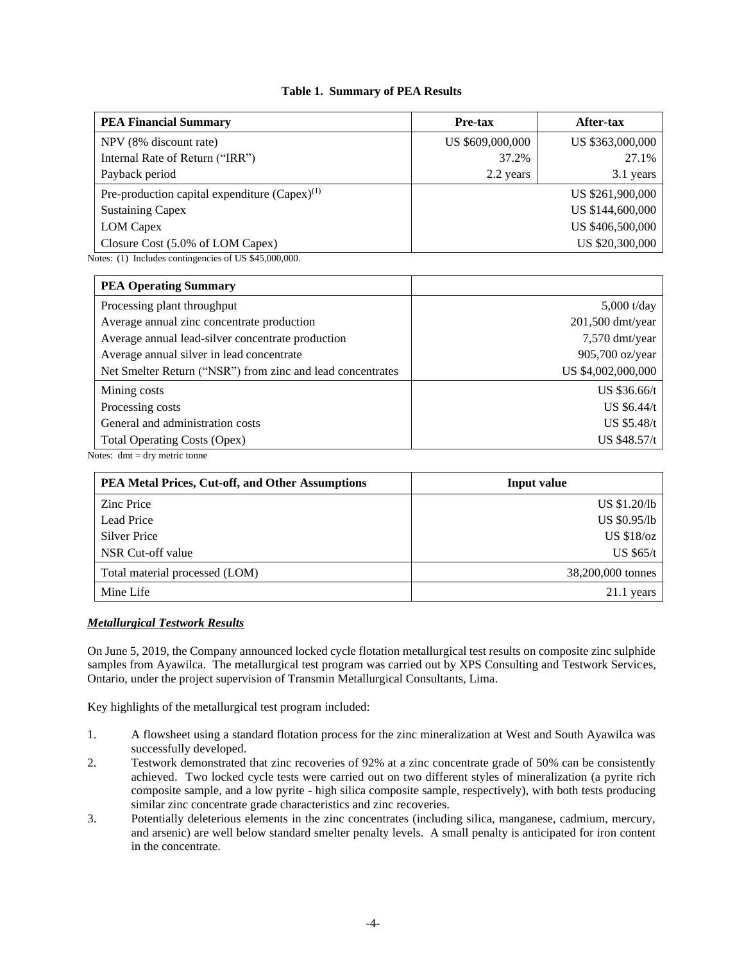## **Table 1. Summary of PEA Results**

| <b>PEA Financial Summary</b>                       | <b>Pre-tax</b>   | After-tax        |
|----------------------------------------------------|------------------|------------------|
| NPV (8% discount rate)                             | US \$609,000,000 | US \$363,000,000 |
| Internal Rate of Return ("IRR")                    | 37.2%            | 27.1%            |
| Payback period                                     | 2.2 years        | 3.1 years        |
| Pre-production capital expenditure $(Capex)^{(1)}$ |                  | US \$261,900,000 |
| <b>Sustaining Capex</b>                            |                  | US \$144,600,000 |
| <b>LOM</b> Capex                                   |                  | US \$406,500,000 |
| Closure Cost (5.0% of LOM Capex)                   |                  | US \$20,300,000  |

Notes: (1) Includes contingencies of US \$45,000,000.

| <b>PEA Operating Summary</b>                               |                    |
|------------------------------------------------------------|--------------------|
| Processing plant throughput                                | $5,000$ t/day      |
| Average annual zinc concentrate production                 | 201,500 dmt/year   |
| Average annual lead-silver concentrate production          | 7,570 dmt/year     |
| Average annual silver in lead concentrate                  | 905,700 oz/year    |
| Net Smelter Return ("NSR") from zinc and lead concentrates | US \$4,002,000,000 |
| Mining costs                                               | US \$36.66/t       |
| Processing costs                                           | US $$6.44/t$       |
| General and administration costs                           | US \$5.48/t        |
| Total Operating Costs (Opex)                               | US \$48.57/t       |

Notes: dmt = dry metric tonne

| PEA Metal Prices, Cut-off, and Other Assumptions | <b>Input value</b>  |
|--------------------------------------------------|---------------------|
| <b>Zinc Price</b>                                | US \$1.20/lb        |
| Lead Price                                       | <b>US \$0.95/lb</b> |
| <b>Silver Price</b>                              | <b>US \$18/oz</b>   |
| NSR Cut-off value                                | <b>US \$65/t</b>    |
| Total material processed (LOM)                   | 38,200,000 tonnes   |
| Mine Life                                        | $21.1$ years        |

### *Metallurgical Testwork Results*

On June 5, 2019, the Company announced locked cycle flotation metallurgical test results on composite zinc sulphide samples from Ayawilca. The metallurgical test program was carried out by XPS Consulting and Testwork Services, Ontario, under the project supervision of Transmin Metallurgical Consultants, Lima.

Key highlights of the metallurgical test program included:

- 1. A flowsheet using a standard flotation process for the zinc mineralization at West and South Ayawilca was successfully developed.
- 2. Testwork demonstrated that zinc recoveries of 92% at a zinc concentrate grade of 50% can be consistently achieved. Two locked cycle tests were carried out on two different styles of mineralization (a pyrite rich composite sample, and a low pyrite - high silica composite sample, respectively), with both tests producing similar zinc concentrate grade characteristics and zinc recoveries.
- 3. Potentially deleterious elements in the zinc concentrates (including silica, manganese, cadmium, mercury, and arsenic) are well below standard smelter penalty levels. A small penalty is anticipated for iron content in the concentrate.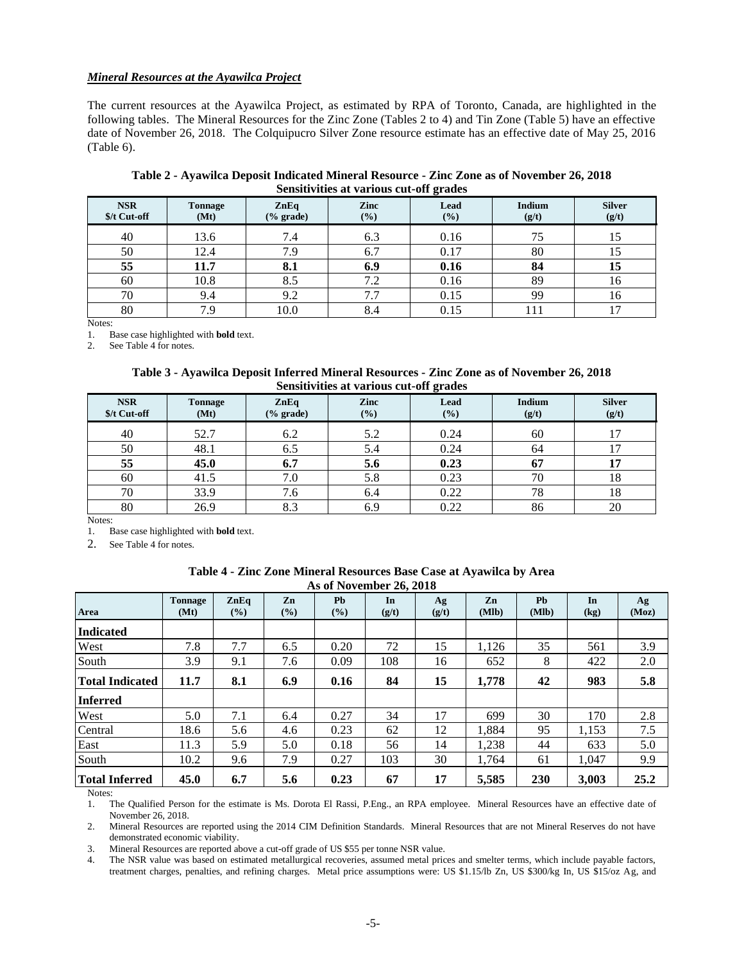### *Mineral Resources at the Ayawilca Project*

The current resources at the Ayawilca Project, as estimated by RPA of Toronto, Canada, are highlighted in the following tables. The Mineral Resources for the Zinc Zone (Tables 2 to 4) and Tin Zone (Table 5) have an effective date of November 26, 2018. The Colquipucro Silver Zone resource estimate has an effective date of May 25, 2016 (Table 6).

| Table 2 - Ayawilca Deposit Indicated Mineral Resource - Zinc Zone as of November 26, 2018 |
|-------------------------------------------------------------------------------------------|
| Sensitivities at various cut-off grades                                                   |

| <b>NSR</b><br>\$/t Cut-off | <b>Tonnage</b><br>(Mt) | ZnEq<br>$(\%$ grade) | Zinc<br>(%) | $\sim$<br>Lead<br>$(\%)$ | <b>Indium</b><br>(g/t) | <b>Silver</b><br>(g/t) |
|----------------------------|------------------------|----------------------|-------------|--------------------------|------------------------|------------------------|
| 40                         | 13.6                   | 7.4                  | 6.3         | 0.16                     | 75                     | 15                     |
| 50                         | 12.4                   | 7.9                  | 6.7         | 0.17                     | 80                     | 15                     |
| 55                         | 11.7                   | 8.1                  | 6.9         | 0.16                     | 84                     | 15                     |
| 60                         | 10.8                   | 8.5                  | 7.2         | 0.16                     | 89                     | 16                     |
| 70                         | 9.4                    | 9.2                  | 7.7         | 0.15                     | 99                     | 16                     |
| 80                         | 7.9                    | 10.0                 | 8.4         | 0.15                     |                        | $\overline{7}$         |

Notes:<br>1. B 1. Base case highlighted with **bold** text.

2. See Table 4 for notes.

**Table 3 - Ayawilca Deposit Inferred Mineral Resources - Zinc Zone as of November 26, 2018 Sensitivities at various cut-off grades**

| <b>NSR</b><br>\$/t Cut-off | <b>Tonnage</b><br>(Mt) | ZnEq<br>$(\%$ grade) | Zinc<br>(%) | Lead<br>$(\%)$ | Indium<br>(g/t) | <b>Silver</b><br>(g/t) |
|----------------------------|------------------------|----------------------|-------------|----------------|-----------------|------------------------|
| 40                         | 52.7                   | 6.2                  | 5.2         | 0.24           | 60              | $\mathcal{I}$          |
| 50                         | 48.1                   | 6.5                  | 5.4         | 0.24           | 64              |                        |
| 55                         | 45.0                   | 6.7                  | 5.6         | 0.23           | 67              | 17                     |
| 60                         | 41.5                   | 7.0                  | 5.8         | 0.23           | 70              | 18                     |
| 70                         | 33.9                   | 7.6                  | 6.4         | 0.22           | 78              | 18                     |
| 80                         | 26.9                   | 8.3                  | 6.9         | 0.22           | 86              | 20                     |

Notes:

1. Base case highlighted with **bold** text.

2. See Table 4 for notes.

| Table 4 - Zinc Zone Mineral Resources Base Case at Ayawilca by Area |
|---------------------------------------------------------------------|
| As of November 26, 2018                                             |

| $140 \text{ of } 100$ , emines $201 \text{ of } 100$ |                        |                           |              |                  |             |             |             |                    |            |             |
|------------------------------------------------------|------------------------|---------------------------|--------------|------------------|-------------|-------------|-------------|--------------------|------------|-------------|
| Area                                                 | <b>Tonnage</b><br>(Mt) | $\mathbf{ZnEq}$<br>$(\%)$ | Zn<br>$(\%)$ | <b>Pb</b><br>(%) | In<br>(g/t) | Ag<br>(g/t) | Zn<br>(Mlb) | <b>Ph</b><br>(Mlb) | In<br>(kg) | Ag<br>(Moz) |
| <b>Indicated</b>                                     |                        |                           |              |                  |             |             |             |                    |            |             |
| West                                                 | 7.8                    | 7.7                       | 6.5          | 0.20             | 72          | 15          | 1.126       | 35                 | 561        | 3.9         |
| South                                                | 3.9                    | 9.1                       | 7.6          | 0.09             | 108         | 16          | 652         | 8                  | 422        | 2.0         |
| Total Indicated                                      | 11.7                   | 8.1                       | 6.9          | 0.16             | 84          | 15          | 1,778       | 42                 | 983        | 5.8         |
| Inferred                                             |                        |                           |              |                  |             |             |             |                    |            |             |
| West                                                 | 5.0                    | 7.1                       | 6.4          | 0.27             | 34          | 17          | 699         | 30                 | 170        | 2.8         |
| Central                                              | 18.6                   | 5.6                       | 4.6          | 0.23             | 62          | 12          | 1,884       | 95                 | 1,153      | 7.5         |
| East                                                 | 11.3                   | 5.9                       | 5.0          | 0.18             | 56          | 14          | 1,238       | 44                 | 633        | 5.0         |
| South                                                | 10.2                   | 9.6                       | 7.9          | 0.27             | 103         | 30          | 1.764       | 61                 | 1.047      | 9.9         |
| <b>Total Inferred</b>                                | 45.0                   | 6.7                       | 5.6          | 0.23             | 67          | 17          | 5,585       | 230                | 3.003      | 25.2        |

Notes:

1. The Qualified Person for the estimate is Ms. Dorota El Rassi, P.Eng., an RPA employee. Mineral Resources have an effective date of November 26, 2018.

2. Mineral Resources are reported using the 2014 CIM Definition Standards. Mineral Resources that are not Mineral Reserves do not have demonstrated economic viability.

3. Mineral Resources are reported above a cut-off grade of US \$55 per tonne NSR value.

4. The NSR value was based on estimated metallurgical recoveries, assumed metal prices and smelter terms, which include payable factors, treatment charges, penalties, and refining charges. Metal price assumptions were: US \$1.15/lb Zn, US \$300/kg In, US \$15/oz Ag, and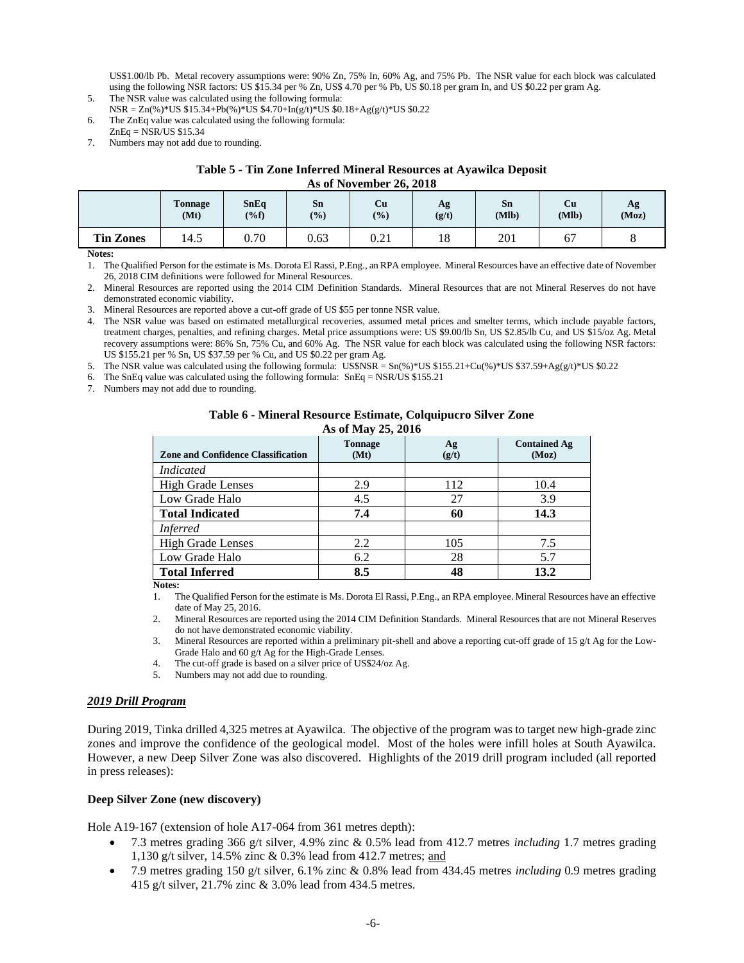US\$1.00/lb Pb. Metal recovery assumptions were: 90% Zn, 75% In, 60% Ag, and 75% Pb. The NSR value for each block was calculated using the following NSR factors: US \$15.34 per % Zn, US\$ 4.70 per % Pb, US \$0.18 per gram In, and US \$0.22 per gram Ag.

- 5. The NSR value was calculated using the following formula:  $NSR = Zn(\%)^*US$  \$15.34+Pb(%)\*US \$4.70+In(g/t)\*US \$0.18+Ag(g/t)\*US \$0.22
- 6. The ZnEq value was calculated using the following formula:  $ZnEq = \overline{NSR/US}$  \$15.34
- 7. Numbers may not add due to rounding.

#### **Table 5 - Tin Zone Inferred Mineral Resources at Ayawilca Deposit As of November 26, 2018**

|                  | $110 \, \mathrm{V}$ $110 \, \mathrm{V}$ $1110 \, \mathrm{V}$ $1$ $101 \, \mathrm{V}$ |                        |              |              |             |             |             |             |
|------------------|--------------------------------------------------------------------------------------|------------------------|--------------|--------------|-------------|-------------|-------------|-------------|
|                  | <b>Tonnage</b><br>(Mt)                                                               | <b>SnEq</b><br>$(\%f)$ | Sn<br>$($ %) | Сu<br>$(\%)$ | Ag<br>(g/t) | Sn<br>(Mlb) | Cu<br>(M1b) | Ag<br>(Moz) |
| <b>Tin Zones</b> | 14.5                                                                                 | 0.70                   | 0.63         | 0.21         | 18          | 201         | --<br>б.    |             |

**Notes:**

1. The Qualified Person for the estimate is Ms. Dorota El Rassi, P.Eng., an RPA employee. Mineral Resources have an effective date of November 26, 2018 CIM definitions were followed for Mineral Resources.

2. Mineral Resources are reported using the 2014 CIM Definition Standards. Mineral Resources that are not Mineral Reserves do not have demonstrated economic viability.

3. Mineral Resources are reported above a cut-off grade of US \$55 per tonne NSR value.

4. The NSR value was based on estimated metallurgical recoveries, assumed metal prices and smelter terms, which include payable factors, treatment charges, penalties, and refining charges. Metal price assumptions were: US \$9.00/lb Sn, US \$2.85/lb Cu, and US \$15/oz Ag. Metal recovery assumptions were: 86% Sn, 75% Cu, and 60% Ag. The NSR value for each block was calculated using the following NSR factors: US \$155.21 per % Sn, US \$37.59 per % Cu, and US \$0.22 per gram Ag.

5. The NSR value was calculated using the following formula: US\$NSR =  $Sn(\%)*US$ \$155.21+Cu(%)\*US\$37.59+Ag(g/t)\*US\$0.22

6. The SnEq value was calculated using the following formula: SnEq = NSR/US \$155.21

7. Numbers may not add due to rounding.

# **Table 6 - Mineral Resource Estimate, Colquipucro Silver Zone**

| As of May 25, 2016 |  |  |
|--------------------|--|--|
|--------------------|--|--|

| <b>Zone and Confidence Classification</b> | <b>Tonnage</b><br>(Mt) | Ag<br>(g/t) | <b>Contained Ag</b><br>(Moz) |
|-------------------------------------------|------------------------|-------------|------------------------------|
| <i>Indicated</i>                          |                        |             |                              |
| <b>High Grade Lenses</b>                  | 2.9                    | 112         | 10.4                         |
| Low Grade Halo                            | 4.5                    | 27          | 3.9                          |
| <b>Total Indicated</b>                    | 7.4                    | 60          | 14.3                         |
| <i>Inferred</i>                           |                        |             |                              |
| <b>High Grade Lenses</b>                  | 2.2                    | 105         | 7.5                          |
| Low Grade Halo                            | 6.2                    | 28          | 5.7                          |
| <b>Total Inferred</b>                     | 8.5                    | 48          | 13.2                         |

**Notes:**

1. The Qualified Person for the estimate is Ms. Dorota El Rassi, P.Eng., an RPA employee. Mineral Resources have an effective date of May 25, 2016.

2. Mineral Resources are reported using the 2014 CIM Definition Standards. Mineral Resources that are not Mineral Reserves do not have demonstrated economic viability.

3. Mineral Resources are reported within a preliminary pit-shell and above a reporting cut-off grade of 15 g/t Ag for the Low-Grade Halo and 60 g/t Ag for the High-Grade Lenses.

4. The cut-off grade is based on a silver price of US\$24/oz Ag.

5. Numbers may not add due to rounding.

### *2019 Drill Program*

During 2019, Tinka drilled 4,325 metres at Ayawilca. The objective of the program was to target new high-grade zinc zones and improve the confidence of the geological model. Most of the holes were infill holes at South Ayawilca. However, a new Deep Silver Zone was also discovered. Highlights of the 2019 drill program included (all reported in press releases):

### **Deep Silver Zone (new discovery)**

Hole A19-167 (extension of hole A17-064 from 361 metres depth):

- 7.3 metres grading 366 g/t silver, 4.9% zinc & 0.5% lead from 412.7 metres *including* 1.7 metres grading 1,130 g/t silver, 14.5% zinc & 0.3% lead from 412.7 metres; and
- 7.9 metres grading 150 g/t silver, 6.1% zinc & 0.8% lead from 434.45 metres *including* 0.9 metres grading 415 g/t silver, 21.7% zinc & 3.0% lead from 434.5 metres.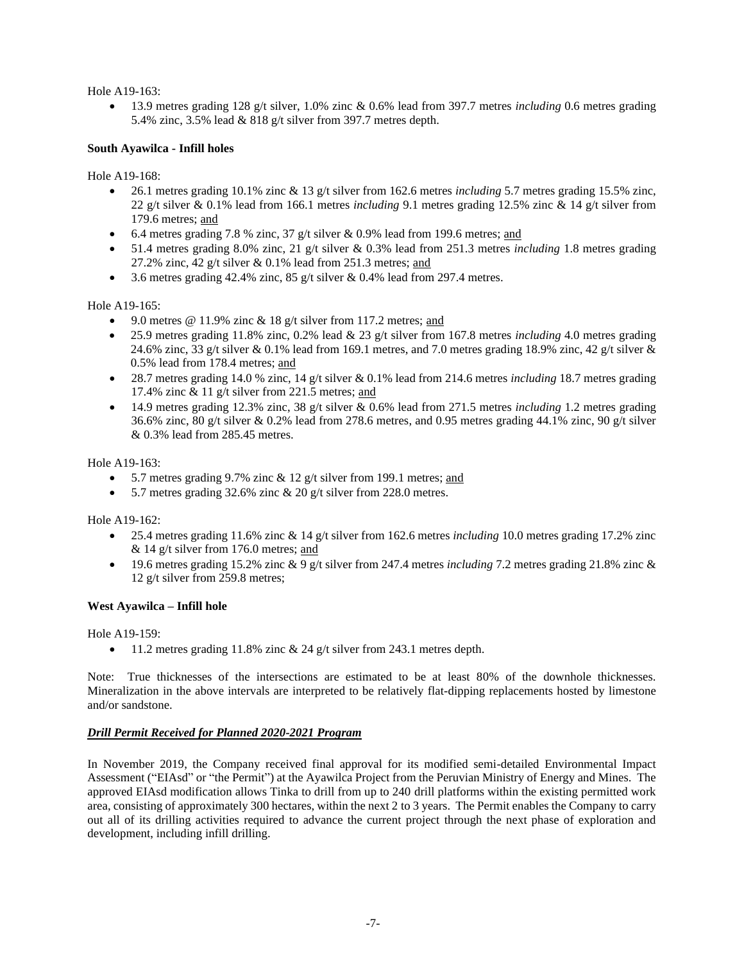Hole A19-163:

• 13.9 metres grading 128 g/t silver, 1.0% zinc & 0.6% lead from 397.7 metres *including* 0.6 metres grading 5.4% zinc, 3.5% lead & 818 g/t silver from 397.7 metres depth.

### **South Ayawilca - Infill holes**

Hole A19-168:

- 26.1 metres grading 10.1% zinc & 13 g/t silver from 162.6 metres *including* 5.7 metres grading 15.5% zinc, 22 g/t silver & 0.1% lead from 166.1 metres *including* 9.1 metres grading 12.5% zinc & 14 g/t silver from 179.6 metres; and
- 6.4 metres grading 7.8 % zinc, 37 g/t silver  $& 0.9\%$  lead from 199.6 metres; and
- 51.4 metres grading 8.0% zinc, 21 g/t silver & 0.3% lead from 251.3 metres *including* 1.8 metres grading 27.2% zinc, 42 g/t silver  $& 0.1\%$  lead from 251.3 metres; and
- 3.6 metres grading 42.4% zinc,  $85$  g/t silver & 0.4% lead from 297.4 metres.

Hole A19-165:

- 9.0 metres  $@ 11.9\%$  zinc  $& 18$  g/t silver from 117.2 metres; and
- 25.9 metres grading 11.8% zinc, 0.2% lead & 23 g/t silver from 167.8 metres *including* 4.0 metres grading 24.6% zinc, 33 g/t silver & 0.1% lead from 169.1 metres, and 7.0 metres grading 18.9% zinc, 42 g/t silver & 0.5% lead from 178.4 metres; and
- 28.7 metres grading 14.0 % zinc, 14 g/t silver & 0.1% lead from 214.6 metres *including* 18.7 metres grading 17.4% zinc  $\&$  11 g/t silver from 221.5 metres; and
- 14.9 metres grading 12.3% zinc, 38 g/t silver & 0.6% lead from 271.5 metres *including* 1.2 metres grading 36.6% zinc, 80 g/t silver & 0.2% lead from 278.6 metres, and 0.95 metres grading 44.1% zinc, 90 g/t silver & 0.3% lead from 285.45 metres.

Hole A19-163:

- 5.7 metres grading 9.7% zinc  $& 12$  g/t silver from 199.1 metres; and
- 5.7 metres grading 32.6% zinc  $\&$  20 g/t silver from 228.0 metres.

Hole A19-162:

- 25.4 metres grading 11.6% zinc & 14 g/t silver from 162.6 metres *including* 10.0 metres grading 17.2% zinc  $& 14$  g/t silver from 176.0 metres; and
- 19.6 metres grading 15.2% zinc & 9 g/t silver from 247.4 metres *including* 7.2 metres grading 21.8% zinc & 12 g/t silver from 259.8 metres;

### **West Ayawilca – Infill hole**

Hole A19-159:

• 11.2 metres grading 11.8% zinc  $& 24$  g/t silver from 243.1 metres depth.

Note: True thicknesses of the intersections are estimated to be at least 80% of the downhole thicknesses. Mineralization in the above intervals are interpreted to be relatively flat-dipping replacements hosted by limestone and/or sandstone.

### *Drill Permit Received for Planned 2020-2021 Program*

In November 2019, the Company received final approval for its modified semi-detailed Environmental Impact Assessment ("EIAsd" or "the Permit") at the Ayawilca Project from the Peruvian Ministry of Energy and Mines. The approved EIAsd modification allows Tinka to drill from up to 240 drill platforms within the existing permitted work area, consisting of approximately 300 hectares, within the next 2 to 3 years. The Permit enables the Company to carry out all of its drilling activities required to advance the current project through the next phase of exploration and development, including infill drilling.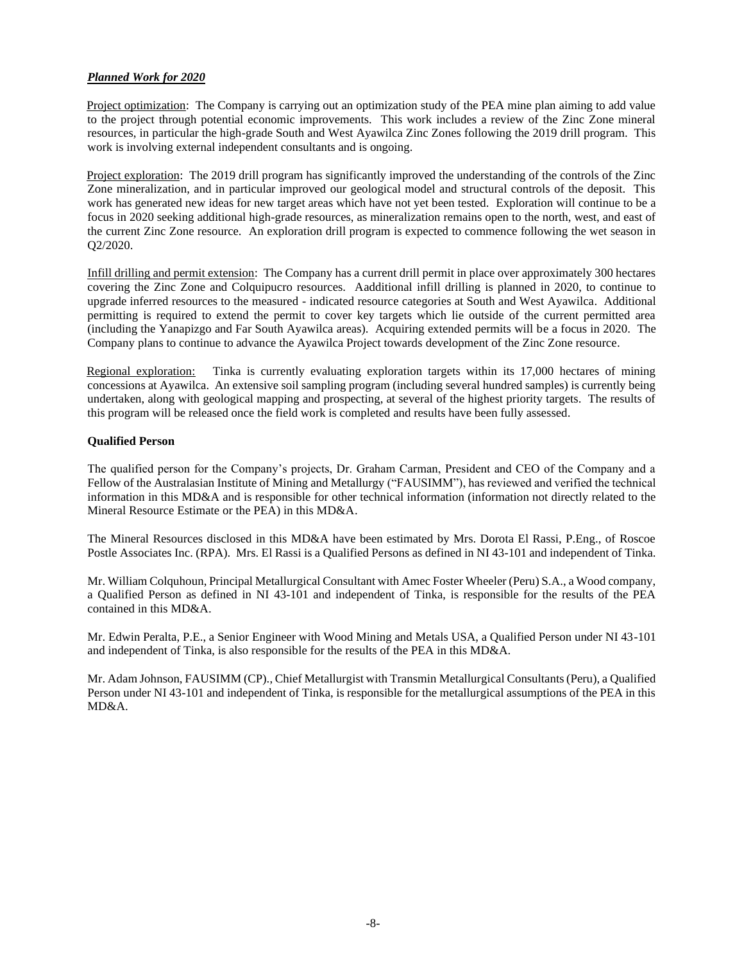## *Planned Work for 2020*

Project optimization: The Company is carrying out an optimization study of the PEA mine plan aiming to add value to the project through potential economic improvements. This work includes a review of the Zinc Zone mineral resources, in particular the high-grade South and West Ayawilca Zinc Zones following the 2019 drill program. This work is involving external independent consultants and is ongoing.

Project exploration: The 2019 drill program has significantly improved the understanding of the controls of the Zinc Zone mineralization, and in particular improved our geological model and structural controls of the deposit. This work has generated new ideas for new target areas which have not yet been tested. Exploration will continue to be a focus in 2020 seeking additional high-grade resources, as mineralization remains open to the north, west, and east of the current Zinc Zone resource. An exploration drill program is expected to commence following the wet season in Q2/2020.

Infill drilling and permit extension: The Company has a current drill permit in place over approximately 300 hectares covering the Zinc Zone and Colquipucro resources. Aadditional infill drilling is planned in 2020, to continue to upgrade inferred resources to the measured - indicated resource categories at South and West Ayawilca. Additional permitting is required to extend the permit to cover key targets which lie outside of the current permitted area (including the Yanapizgo and Far South Ayawilca areas). Acquiring extended permits will be a focus in 2020. The Company plans to continue to advance the Ayawilca Project towards development of the Zinc Zone resource.

Regional exploration: Tinka is currently evaluating exploration targets within its 17,000 hectares of mining concessions at Ayawilca. An extensive soil sampling program (including several hundred samples) is currently being undertaken, along with geological mapping and prospecting, at several of the highest priority targets. The results of this program will be released once the field work is completed and results have been fully assessed.

# **Qualified Person**

The qualified person for the Company's projects, Dr. Graham Carman, President and CEO of the Company and a Fellow of the Australasian Institute of Mining and Metallurgy ("FAUSIMM"), has reviewed and verified the technical information in this MD&A and is responsible for other technical information (information not directly related to the Mineral Resource Estimate or the PEA) in this MD&A.

The Mineral Resources disclosed in this MD&A have been estimated by Mrs. Dorota El Rassi, P.Eng., of Roscoe Postle Associates Inc. (RPA). Mrs. El Rassi is a Qualified Persons as defined in NI 43-101 and independent of Tinka.

Mr. William Colquhoun, Principal Metallurgical Consultant with Amec Foster Wheeler (Peru) S.A., a Wood company, a Qualified Person as defined in NI 43-101 and independent of Tinka, is responsible for the results of the PEA contained in this MD&A.

Mr. Edwin Peralta, P.E., a Senior Engineer with Wood Mining and Metals USA, a Qualified Person under NI 43-101 and independent of Tinka, is also responsible for the results of the PEA in this MD&A.

Mr. Adam Johnson, FAUSIMM (CP)., Chief Metallurgist with Transmin Metallurgical Consultants (Peru), a Qualified Person under NI 43-101 and independent of Tinka, is responsible for the metallurgical assumptions of the PEA in this MD&A.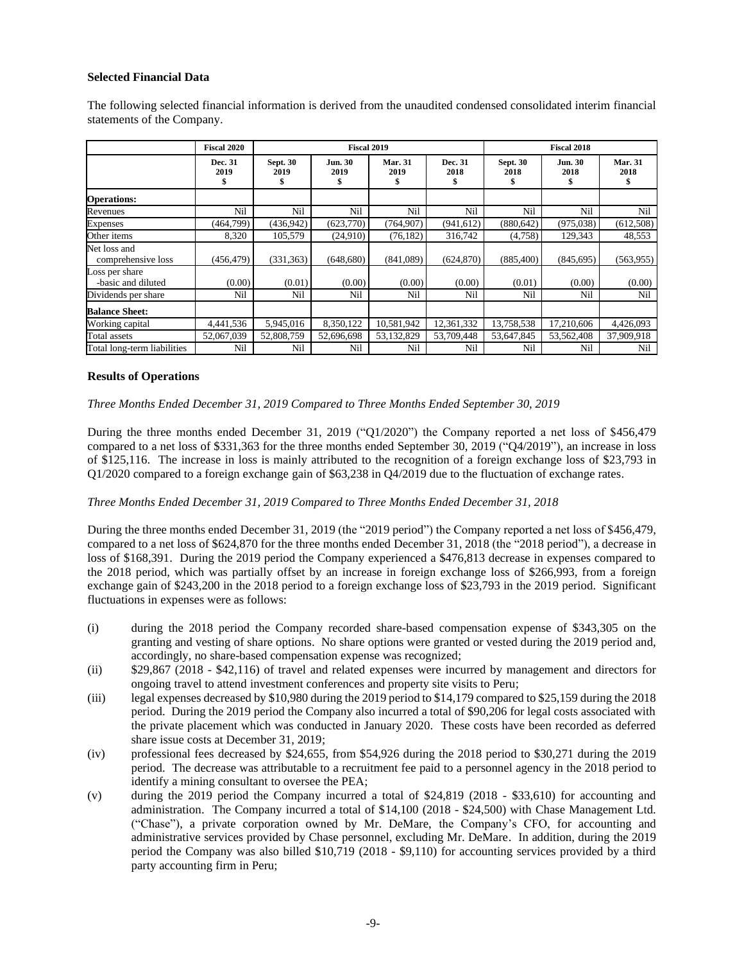### **Selected Financial Data**

The following selected financial information is derived from the unaudited condensed consolidated interim financial statements of the Company.

|                                      | <b>Fiscal 2020</b>    |                         | <b>Fiscal 2019</b>           |                        |                       | <b>Fiscal 2018</b>            |                              |                        |
|--------------------------------------|-----------------------|-------------------------|------------------------------|------------------------|-----------------------|-------------------------------|------------------------------|------------------------|
|                                      | Dec. 31<br>2019<br>\$ | <b>Sept. 30</b><br>2019 | <b>Jun. 30</b><br>2019<br>\$ | <b>Mar. 31</b><br>2019 | Dec. 31<br>2018<br>\$ | <b>Sept. 30</b><br>2018<br>\$ | <b>Jun. 30</b><br>2018<br>\$ | <b>Mar. 31</b><br>2018 |
| <b>Operations:</b>                   |                       |                         |                              |                        |                       |                               |                              |                        |
| Revenues                             | Nil                   | Nil                     | Nil                          | Nil                    | Nil                   | Nil                           | Nil                          | Nil                    |
| <b>Expenses</b>                      | (464, 799)            | (436, 942)              | (623,770)                    | (764, 907)             | (941, 612)            | (880, 642)                    | (975, 038)                   | (612, 508)             |
| Other items                          | 8,320                 | 105,579                 | (24,910)                     | (76, 182)              | 316,742               | (4,758)                       | 129,343                      | 48,553                 |
| Net loss and<br>comprehensive loss   | (456,479)             | (331, 363)              | (648, 680)                   | (841,089)              | (624, 870)            | (885, 400)                    | (845, 695)                   | (563, 955)             |
| Loss per share<br>-basic and diluted | (0.00)                | (0.01)                  | (0.00)                       | (0.00)                 | (0.00)                | (0.01)                        | (0.00)                       | (0.00)                 |
| Dividends per share                  | Nil                   | Nil                     | Nil                          | Nil                    | Nil                   | Nil                           | Nil                          | Nil                    |
| <b>Balance Sheet:</b>                |                       |                         |                              |                        |                       |                               |                              |                        |
| Working capital                      | 4,441,536             | 5,945,016               | 8,350,122                    | 10,581,942             | 12,361,332            | 13,758,538                    | 17,210,606                   | 4,426,093              |
| Total assets                         | 52,067,039            | 52,808,759              | 52,696,698                   | 53,132,829             | 53,709,448            | 53,647,845                    | 53,562,408                   | 37,909,918             |
| Total long-term liabilities          | Nil                   | Nil                     | Nil                          | Nil                    | Nil                   | Nil                           | Nil                          | Nil                    |

#### **Results of Operations**

*Three Months Ended December 31, 2019 Compared to Three Months Ended September 30, 2019*

During the three months ended December 31, 2019 ("Q1/2020") the Company reported a net loss of \$456,479 compared to a net loss of \$331,363 for the three months ended September 30, 2019 ("Q4/2019"), an increase in loss of \$125,116. The increase in loss is mainly attributed to the recognition of a foreign exchange loss of \$23,793 in Q1/2020 compared to a foreign exchange gain of \$63,238 in Q4/2019 due to the fluctuation of exchange rates.

### *Three Months Ended December 31, 2019 Compared to Three Months Ended December 31, 2018*

During the three months ended December 31, 2019 (the "2019 period") the Company reported a net loss of \$456,479, compared to a net loss of \$624,870 for the three months ended December 31, 2018 (the "2018 period"), a decrease in loss of \$168,391. During the 2019 period the Company experienced a \$476,813 decrease in expenses compared to the 2018 period, which was partially offset by an increase in foreign exchange loss of \$266,993, from a foreign exchange gain of \$243,200 in the 2018 period to a foreign exchange loss of \$23,793 in the 2019 period. Significant fluctuations in expenses were as follows:

- (i) during the 2018 period the Company recorded share-based compensation expense of \$343,305 on the granting and vesting of share options. No share options were granted or vested during the 2019 period and, accordingly, no share-based compensation expense was recognized;
- (ii) \$29,867 (2018 \$42,116) of travel and related expenses were incurred by management and directors for ongoing travel to attend investment conferences and property site visits to Peru;
- (iii) legal expenses decreased by \$10,980 during the 2019 period to \$14,179 compared to \$25,159 during the 2018 period. During the 2019 period the Company also incurred a total of \$90,206 for legal costs associated with the private placement which was conducted in January 2020. These costs have been recorded as deferred share issue costs at December 31, 2019;
- (iv) professional fees decreased by \$24,655, from \$54,926 during the 2018 period to \$30,271 during the 2019 period. The decrease was attributable to a recruitment fee paid to a personnel agency in the 2018 period to identify a mining consultant to oversee the PEA;
- (v) during the 2019 period the Company incurred a total of \$24,819 (2018 \$33,610) for accounting and administration. The Company incurred a total of \$14,100 (2018 - \$24,500) with Chase Management Ltd. ("Chase"), a private corporation owned by Mr. DeMare, the Company's CFO, for accounting and administrative services provided by Chase personnel, excluding Mr. DeMare. In addition, during the 2019 period the Company was also billed \$10,719 (2018 - \$9,110) for accounting services provided by a third party accounting firm in Peru;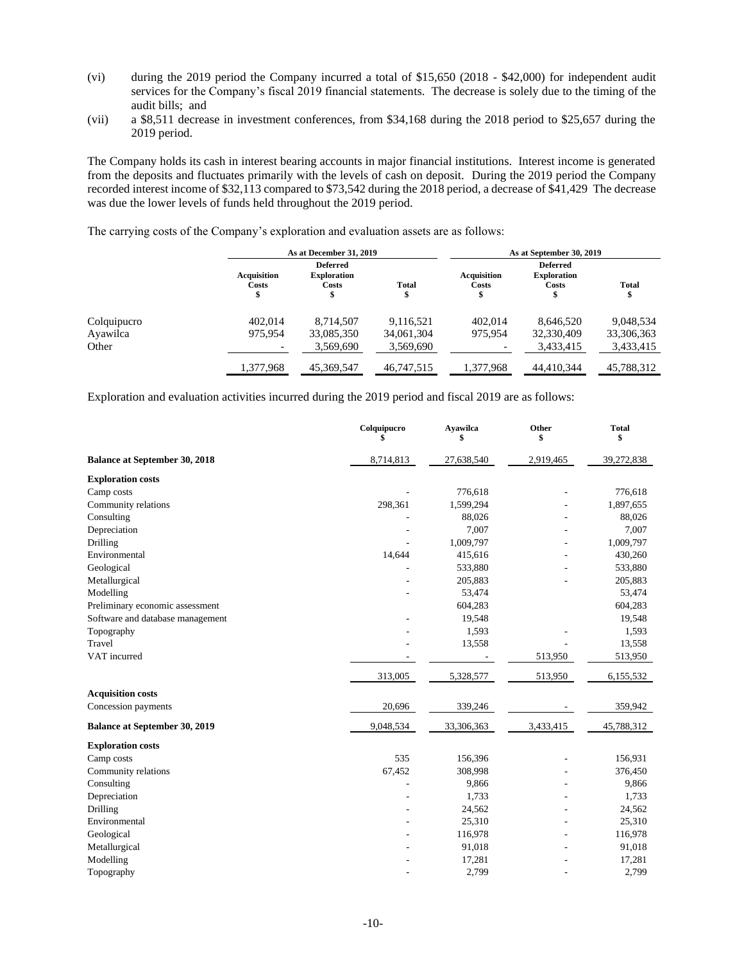- (vi) during the 2019 period the Company incurred a total of \$15,650 (2018 \$42,000) for independent audit services for the Company's fiscal 2019 financial statements. The decrease is solely due to the timing of the audit bills; and
- (vii) a \$8,511 decrease in investment conferences, from \$34,168 during the 2018 period to \$25,657 during the 2019 period.

The Company holds its cash in interest bearing accounts in major financial institutions. Interest income is generated from the deposits and fluctuates primarily with the levels of cash on deposit. During the 2019 period the Company recorded interest income of \$32,113 compared to \$73,542 during the 2018 period, a decrease of \$41,429 The decrease was due the lower levels of funds held throughout the 2019 period.

The carrying costs of the Company's exploration and evaluation assets are as follows:

|             |                                   | As at December 31, 2019                             |            |                                   |                                                | As at September 30, 2019 |  |  |
|-------------|-----------------------------------|-----------------------------------------------------|------------|-----------------------------------|------------------------------------------------|--------------------------|--|--|
|             | <b>Acquisition</b><br>Costs<br>\$ | <b>Deferred</b><br><b>Exploration</b><br>Costs<br>S | Total<br>Œ | <b>Acquisition</b><br>Costs<br>\$ | <b>Deferred</b><br><b>Exploration</b><br>Costs | <b>Total</b><br>\$       |  |  |
| Colquipucro | 402,014                           | 8,714,507                                           | 9,116,521  | 402.014                           | 8,646,520                                      | 9,048,534                |  |  |
| Ayawilca    | 975.954                           | 33,085,350                                          | 34,061,304 | 975.954                           | 32,330,409                                     | 33,306,363               |  |  |
| Other       |                                   | 3.569.690                                           | 3,569,690  | $\overline{\phantom{0}}$          | 3.433.415                                      | 3,433,415                |  |  |
|             | 1,377,968                         | 45,369,547                                          | 46,747,515 | 1,377,968                         | 44,410,344                                     | 45,788,312               |  |  |

Exploration and evaluation activities incurred during the 2019 period and fiscal 2019 are as follows:

|                                      | Colquipucro<br>\$ | <b>Avawilca</b><br>\$    | Other<br>\$ | <b>Total</b><br>\$ |
|--------------------------------------|-------------------|--------------------------|-------------|--------------------|
| <b>Balance at September 30, 2018</b> | 8,714,813         | 27,638,540               | 2,919,465   | 39,272,838         |
| <b>Exploration costs</b>             |                   |                          |             |                    |
| Camp costs                           |                   | 776,618                  |             | 776,618            |
| Community relations                  | 298,361           | 1,599,294                |             | 1,897,655          |
| Consulting                           |                   | 88,026                   | L,          | 88,026             |
| Depreciation                         |                   | 7,007                    |             | 7,007              |
| Drilling                             |                   | 1,009,797                |             | 1,009,797          |
| Environmental                        | 14,644            | 415,616                  |             | 430,260            |
| Geological                           |                   | 533,880                  |             | 533,880            |
| Metallurgical                        |                   | 205,883                  |             | 205,883            |
| Modelling                            |                   | 53,474                   |             | 53,474             |
| Preliminary economic assessment      |                   | 604,283                  |             | 604,283            |
| Software and database management     |                   | 19,548                   |             | 19,548             |
| Topography                           |                   | 1,593                    |             | 1,593              |
| Travel                               |                   | 13,558                   |             | 13,558             |
| VAT incurred                         |                   | $\overline{\phantom{a}}$ | 513,950     | 513,950            |
|                                      | 313,005           | 5,328,577                | 513,950     | 6,155,532          |
| <b>Acquisition costs</b>             |                   |                          |             |                    |
| Concession payments                  | 20,696            | 339,246                  |             | 359,942            |
| <b>Balance at September 30, 2019</b> | 9,048,534         | 33,306,363               | 3,433,415   | 45,788,312         |
| <b>Exploration costs</b>             |                   |                          |             |                    |
| Camp costs                           | 535               | 156,396                  |             | 156,931            |
| Community relations                  | 67,452            | 308,998                  |             | 376,450            |
| Consulting                           |                   | 9,866                    |             | 9,866              |
| Depreciation                         |                   | 1,733                    |             | 1,733              |
| Drilling                             |                   | 24,562                   |             | 24,562             |
| Environmental                        |                   | 25,310                   |             | 25,310             |
| Geological                           |                   | 116,978                  |             | 116,978            |
| Metallurgical                        |                   | 91,018                   |             | 91,018             |
| Modelling                            |                   | 17,281                   |             | 17,281             |
| Topography                           |                   | 2,799                    |             | 2,799              |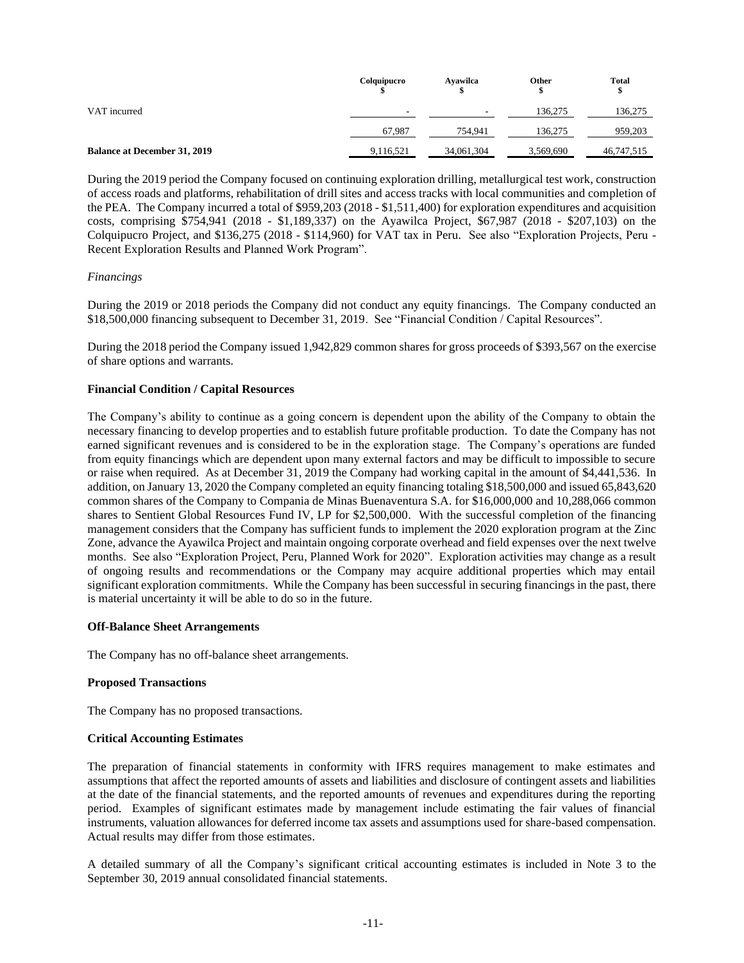|                                     | Colquipucro | Avawilca                 | Other     | <b>Total</b><br>\$ |
|-------------------------------------|-------------|--------------------------|-----------|--------------------|
| VAT incurred                        | -           | $\overline{\phantom{a}}$ | 136.275   | 136,275            |
|                                     | 67.987      | 754.941                  | 136.275   | 959,203            |
| <b>Balance at December 31, 2019</b> | 9,116,521   | 34,061,304               | 3,569,690 | 46,747,515         |

During the 2019 period the Company focused on continuing exploration drilling, metallurgical test work, construction of access roads and platforms, rehabilitation of drill sites and access tracks with local communities and completion of the PEA. The Company incurred a total of \$959,203 (2018 - \$1,511,400) for exploration expenditures and acquisition costs, comprising \$754,941 (2018 - \$1,189,337) on the Ayawilca Project, \$67,987 (2018 - \$207,103) on the Colquipucro Project, and \$136,275 (2018 - \$114,960) for VAT tax in Peru. See also "Exploration Projects, Peru - Recent Exploration Results and Planned Work Program".

### *Financings*

During the 2019 or 2018 periods the Company did not conduct any equity financings. The Company conducted an \$18,500,000 financing subsequent to December 31, 2019. See "Financial Condition / Capital Resources".

During the 2018 period the Company issued 1,942,829 common shares for gross proceeds of \$393,567 on the exercise of share options and warrants.

### **Financial Condition / Capital Resources**

The Company's ability to continue as a going concern is dependent upon the ability of the Company to obtain the necessary financing to develop properties and to establish future profitable production. To date the Company has not earned significant revenues and is considered to be in the exploration stage. The Company's operations are funded from equity financings which are dependent upon many external factors and may be difficult to impossible to secure or raise when required. As at December 31, 2019 the Company had working capital in the amount of \$4,441,536. In addition, on January 13, 2020 the Company completed an equity financing totaling \$18,500,000 and issued 65,843,620 common shares of the Company to Compania de Minas Buenaventura S.A. for \$16,000,000 and 10,288,066 common shares to Sentient Global Resources Fund IV, LP for \$2,500,000. With the successful completion of the financing management considers that the Company has sufficient funds to implement the 2020 exploration program at the Zinc Zone, advance the Ayawilca Project and maintain ongoing corporate overhead and field expenses over the next twelve months. See also "Exploration Project, Peru, Planned Work for 2020". Exploration activities may change as a result of ongoing results and recommendations or the Company may acquire additional properties which may entail significant exploration commitments. While the Company has been successful in securing financings in the past, there is material uncertainty it will be able to do so in the future.

### **Off-Balance Sheet Arrangements**

The Company has no off-balance sheet arrangements.

### **Proposed Transactions**

The Company has no proposed transactions.

### **Critical Accounting Estimates**

The preparation of financial statements in conformity with IFRS requires management to make estimates and assumptions that affect the reported amounts of assets and liabilities and disclosure of contingent assets and liabilities at the date of the financial statements, and the reported amounts of revenues and expenditures during the reporting period. Examples of significant estimates made by management include estimating the fair values of financial instruments, valuation allowances for deferred income tax assets and assumptions used for share-based compensation. Actual results may differ from those estimates.

A detailed summary of all the Company's significant critical accounting estimates is included in Note 3 to the September 30, 2019 annual consolidated financial statements.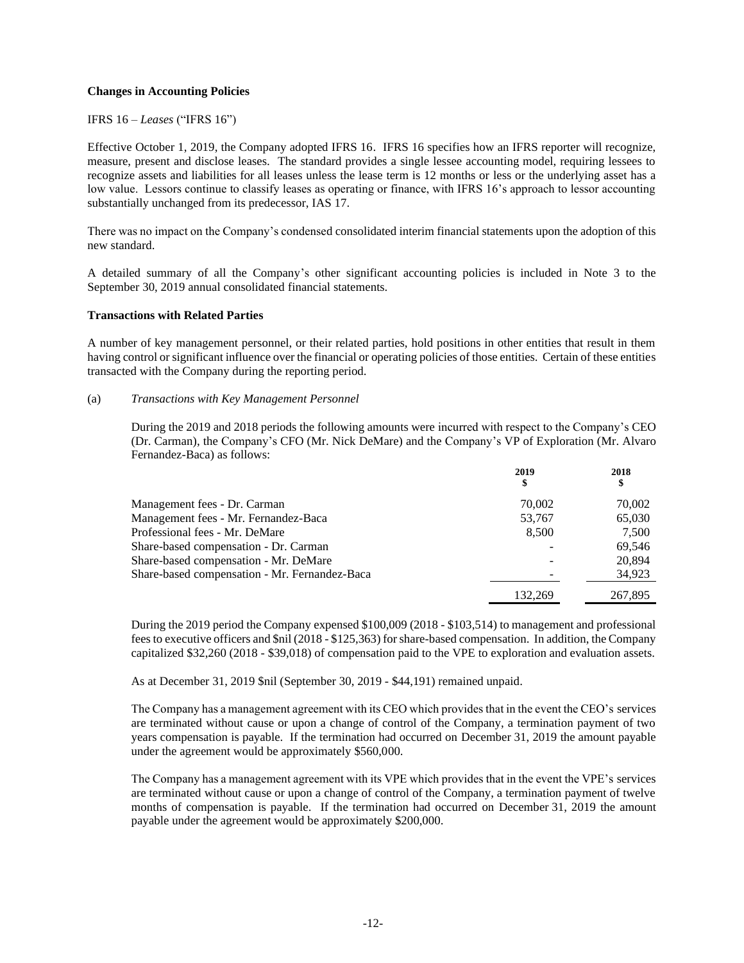### **Changes in Accounting Policies**

IFRS 16 – *Leases* ("IFRS 16")

Effective October 1, 2019, the Company adopted IFRS 16. IFRS 16 specifies how an IFRS reporter will recognize, measure, present and disclose leases. The standard provides a single lessee accounting model, requiring lessees to recognize assets and liabilities for all leases unless the lease term is 12 months or less or the underlying asset has a low value. Lessors continue to classify leases as operating or finance, with IFRS 16's approach to lessor accounting substantially unchanged from its predecessor, IAS 17.

There was no impact on the Company's condensed consolidated interim financial statements upon the adoption of this new standard.

A detailed summary of all the Company's other significant accounting policies is included in Note 3 to the September 30, 2019 annual consolidated financial statements.

### **Transactions with Related Parties**

A number of key management personnel, or their related parties, hold positions in other entities that result in them having control or significant influence over the financial or operating policies of those entities. Certain of these entities transacted with the Company during the reporting period.

#### (a) *Transactions with Key Management Personnel*

During the 2019 and 2018 periods the following amounts were incurred with respect to the Company's CEO (Dr. Carman), the Company's CFO (Mr. Nick DeMare) and the Company's VP of Exploration (Mr. Alvaro Fernandez-Baca) as follows:

|                                               | 2019<br>\$ | 2018<br>\$ |
|-----------------------------------------------|------------|------------|
| Management fees - Dr. Carman                  | 70,002     | 70,002     |
| Management fees - Mr. Fernandez-Baca          | 53,767     | 65,030     |
| Professional fees - Mr. DeMare                | 8,500      | 7.500      |
| Share-based compensation - Dr. Carman         |            | 69.546     |
| Share-based compensation - Mr. DeMare         |            | 20.894     |
| Share-based compensation - Mr. Fernandez-Baca |            | 34,923     |
|                                               | 132.269    | 267,895    |

During the 2019 period the Company expensed \$100,009 (2018 - \$103,514) to management and professional fees to executive officers and \$nil (2018 - \$125,363) for share-based compensation. In addition, the Company capitalized \$32,260 (2018 - \$39,018) of compensation paid to the VPE to exploration and evaluation assets.

As at December 31, 2019 \$nil (September 30, 2019 - \$44,191) remained unpaid.

The Company has a management agreement with its CEO which provides that in the event the CEO's services are terminated without cause or upon a change of control of the Company, a termination payment of two years compensation is payable. If the termination had occurred on December 31, 2019 the amount payable under the agreement would be approximately \$560,000.

The Company has a management agreement with its VPE which provides that in the event the VPE's services are terminated without cause or upon a change of control of the Company, a termination payment of twelve months of compensation is payable. If the termination had occurred on December 31, 2019 the amount payable under the agreement would be approximately \$200,000.